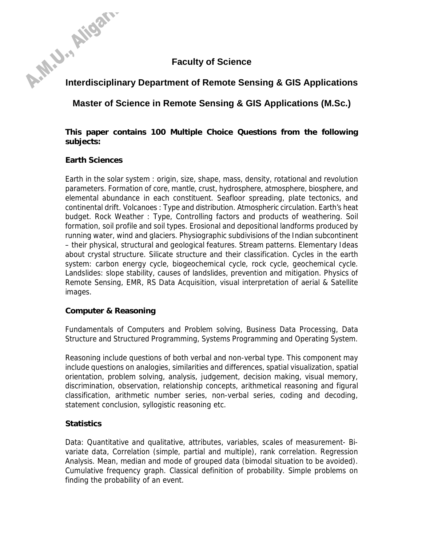# **Faculty of Science**

# A-M.J., Aligan. **Interdisciplinary Department of Remote Sensing & GIS Applications**

**Master of Science in Remote Sensing & GIS Applications (M.Sc.)** 

**This paper contains 100 Multiple Choice Questions from the following subjects:** 

#### **Earth Sciences**

Earth in the solar system : origin, size, shape, mass, density, rotational and revolution parameters. Formation of core, mantle, crust, hydrosphere, atmosphere, biosphere, and elemental abundance in each constituent. Seafloor spreading, plate tectonics, and continental drift. Volcanoes : Type and distribution. Atmospheric circulation. Earth's heat budget. Rock Weather : Type, Controlling factors and products of weathering. Soil formation, soil profile and soil types. Erosional and depositional landforms produced by running water, wind and glaciers. Physiographic subdivisions of the Indian subcontinent – their physical, structural and geological features. Stream patterns. Elementary Ideas about crystal structure. Silicate structure and their classification. Cycles in the earth system: carbon energy cycle, biogeochemical cycle, rock cycle, geochemical cycle. Landslides: slope stability, causes of landslides, prevention and mitigation. Physics of Remote Sensing, EMR, RS Data Acquisition, visual interpretation of aerial & Satellite images.

#### **Computer & Reasoning**

Fundamentals of Computers and Problem solving, Business Data Processing, Data Structure and Structured Programming, Systems Programming and Operating System.

Reasoning include questions of both verbal and non-verbal type. This component may include questions on analogies, similarities and differences, spatial visualization, spatial orientation, problem solving, analysis, judgement, decision making, visual memory, discrimination, observation, relationship concepts, arithmetical reasoning and figural classification, arithmetic number series, non-verbal series, coding and decoding, statement conclusion, syllogistic reasoning etc.

## **Statistics**

Data: Quantitative and qualitative, attributes, variables, scales of measurement- Bivariate data, Correlation (simple, partial and multiple), rank correlation. Regression Analysis. Mean, median and mode of grouped data (bimodal situation to be avoided). Cumulative frequency graph. Classical definition of probability. Simple problems on finding the probability of an event.